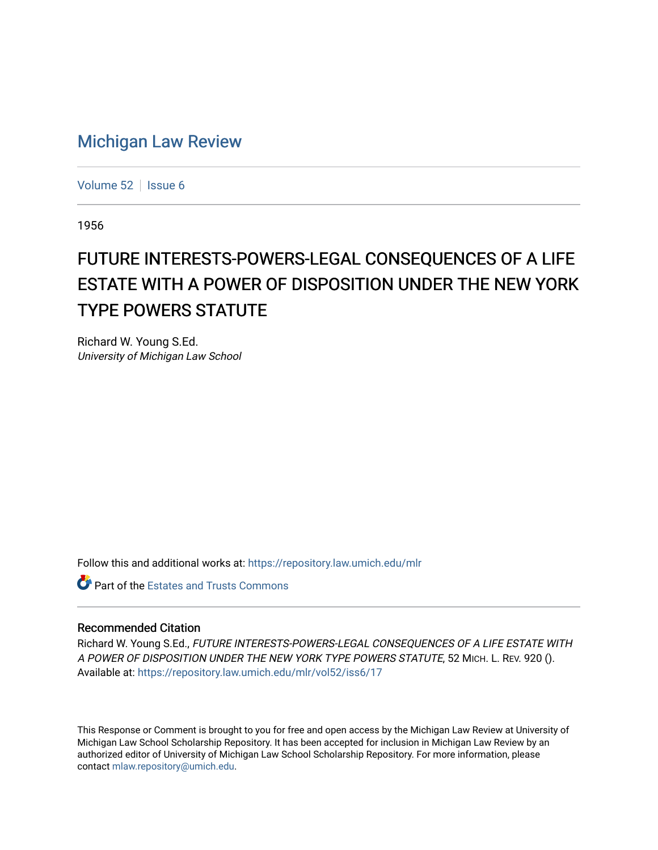## [Michigan Law Review](https://repository.law.umich.edu/mlr)

[Volume 52](https://repository.law.umich.edu/mlr/vol52) | [Issue 6](https://repository.law.umich.edu/mlr/vol52/iss6)

1956

## FUTURE INTERESTS-POWERS-LEGAL CONSEQUENCES OF A LIFE ESTATE WITH A POWER OF DISPOSITION UNDER THE NEW YORK TYPE POWERS STATUTE

Richard W. Young S.Ed. University of Michigan Law School

Follow this and additional works at: [https://repository.law.umich.edu/mlr](https://repository.law.umich.edu/mlr?utm_source=repository.law.umich.edu%2Fmlr%2Fvol52%2Fiss6%2F17&utm_medium=PDF&utm_campaign=PDFCoverPages) 

**C** Part of the Estates and Trusts Commons

## Recommended Citation

Richard W. Young S.Ed., FUTURE INTERESTS-POWERS-LEGAL CONSEQUENCES OF A LIFE ESTATE WITH A POWER OF DISPOSITION UNDER THE NEW YORK TYPE POWERS STATUTE, 52 MICH. L. REV. 920 (). Available at: [https://repository.law.umich.edu/mlr/vol52/iss6/17](https://repository.law.umich.edu/mlr/vol52/iss6/17?utm_source=repository.law.umich.edu%2Fmlr%2Fvol52%2Fiss6%2F17&utm_medium=PDF&utm_campaign=PDFCoverPages) 

This Response or Comment is brought to you for free and open access by the Michigan Law Review at University of Michigan Law School Scholarship Repository. It has been accepted for inclusion in Michigan Law Review by an authorized editor of University of Michigan Law School Scholarship Repository. For more information, please contact [mlaw.repository@umich.edu](mailto:mlaw.repository@umich.edu).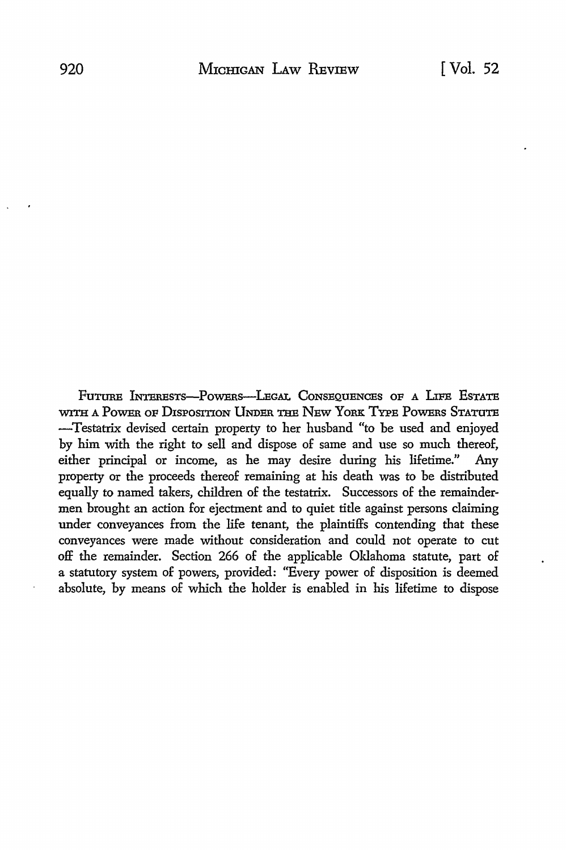Future Interests-Powers-Legal Consequences of a Life Estate WITH A POWER OF DISPOSITION UNDER THE NEW YORK TYPE POWERS STATUTE -Testatrix devised certain property to her husband "to be used and enjoyed by him with the right to sell and dispose of same and use so much thereof, either principal or income, as he may desire during his lifetime.'' Any property or the proceeds thereof remaining at his death was to be distributed equally to named takers, children of the testatrix. Successors of the remaindermen brought an action for ejectment and to quiet title against persons claiming under conveyances from the life tenant, the plaintiffs contending that these conveyances were made without consideration and could not operate to cut off the remainder. Section 266 of the applicable Oklahoma statute, part of a statutory system of powers, provided: "Every power of disposition is deemed absolute, by means of which the holder is enabled in his lifetime to dispose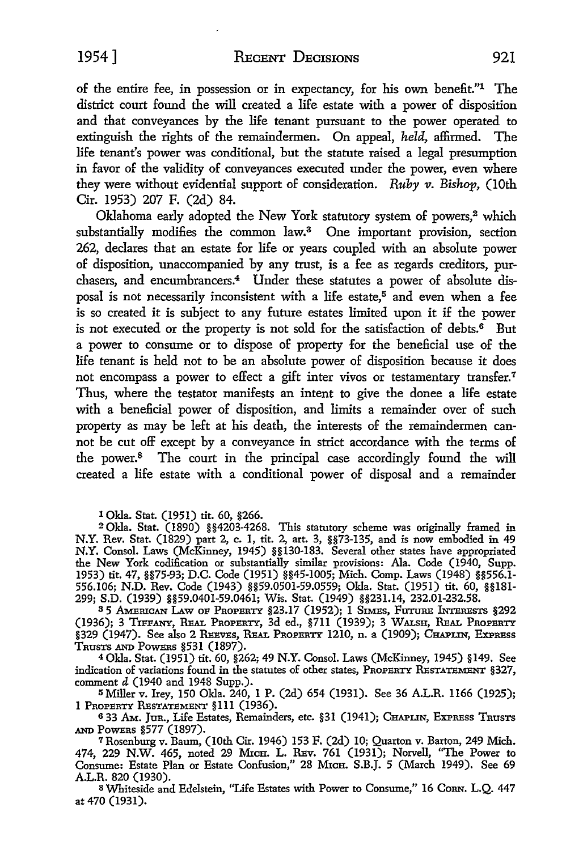of the entire fee, in possession or in expectancy, for his own benefit."<sup>1</sup> The district court found the will created a life estate with a power of disposition and that conveyances by the life tenant pursuant to the power operated to extinguish the rights of the remaindermen. On appeal, *held,* affirmed. The life tenant's power was conditional, but the statute raised a legal presumption in favor of the validity of conveyances executed under the power, even where they were without evidential support of consideration. *Ruby v. Bishop*, (10th Cir. 1953) 207 F. (2d) 84.

Oklahoma early adopted the New York statutory system of powers,<sup>2</sup> which substantially modifies the common law.<sup>3</sup> One important provision, section 262, declares that an estate for life or years coupled with an absolute power of disposition, unaccompanied by any trust, is a fee as regards creditors, purchasers, and encumbrancers.4 Under these statutes a power of absolute disposal is not necessarily inconsistent with a life estate,5 and even when a fee is so created it is subject to any future estates limited upon it if the power is not executed or the property is not sold for the satisfaction of debts.<sup> $6$ </sup> But a power to consume or to dispose of property for the beneficial use of the life tenant is held not to be an absolute power of disposition because it does not encompass a power to effect a gift inter vivos or testamentary transfer.<sup>7</sup> Thus, where the testator manifests an intent to give the donee a life estate with a beneficial power of disposition, and limits a remainder over of such property as may be left at his death, the interests of the remaindermen cannot be cut off except by a conveyance in strict accordance with the terms of the power.<sup>8</sup> The court in the principal case accordingly found the will created a life estate with a conditional power of disposal and a remainder

1 Okla. Stat. (1951) tit. 60, §266.

<sup>2</sup>Okla. Stat. (1890) §§4203-4268. This statutory scheme was originally framed in N.Y. Rev. Stat. (1829) part 2, c. 1, tit. 2, art. 3, §§73-135, and is now embodied in 49 N.Y. Consol. Laws (McKinney, 1945) §§130-183. Several other states have appropriated the New York codification or substantially similar provisions: Ala. Code (1940, Supp. 1953) tit. 47, §§75-93; D.C. Code (1951) §§45-1005; Mich. Comp. Laws (1948) §§556.1- 556.106; N.D. Rev. Code (1943) §§59.0501-59.0559; Okla. Stat. (1951) tit. 60, §§181- 299; S.D. (1939) §§59.0401-59.0461; Wis. Stat. (1949) §§231.14, 232.01-232.58.

s 5 .AMERICAN I.Aw oP PROPERTY §23.17 (1952); I SIMEs, FUTURE lNTEREsTS §292 (1936); 3 TIFFANY, REAL PROPERTY, 3d ed., §711 (1939); 3 WALSH, REAL PROPERTY §329 (1947). See also 2 REEVEs, REAL PnoPERTY 1210, n. a (1909); CHAPLIN, ExPREss TRUSTS AND POWERS §531 (1897).

<sup>4</sup>Okla. Stat. (1951) tit. 60, §262; 49 N.Y. Consol. Laws (McKinney, 1945) §149. See indication of variations found in the statutes of other states, PROPERTY RESTATEMENT §327, comment  $d$  (1940 and 1948 Supp.).

<sup>5</sup>Miller v. Irey, 150 Okla. 240, I P. (2d) 654 (1931). See 36 A.L.R. 1166 (1925); I PROPERTY RESTATEMENT §Ill (1936).

633 Am. Jun., Life Estates, Remainders, etc. §31 (1941); CHAPLIN, EXPRESS TRUSTS AND POWERS §577 (1897).

<sup>7</sup>Rosenburg v. Baum, (10th Cir. 1946) 153 F. (2d) 10; Quarton v. Barton, 249 Mich. 474, 229 N.W. 465, noted 29 MlCH. L. REv. 761 (1931); Norvell, "The Power to Consume: Estate Plan or Estate Confusion," 28 MicH. S.B.J. 5 (March 1949). See 69 A.L.R. 820 (1930). s Whiteside and Edelstein, "Life Estates with Power to Consume," 16 CoRN. L.Q. 447

at 470 (1931).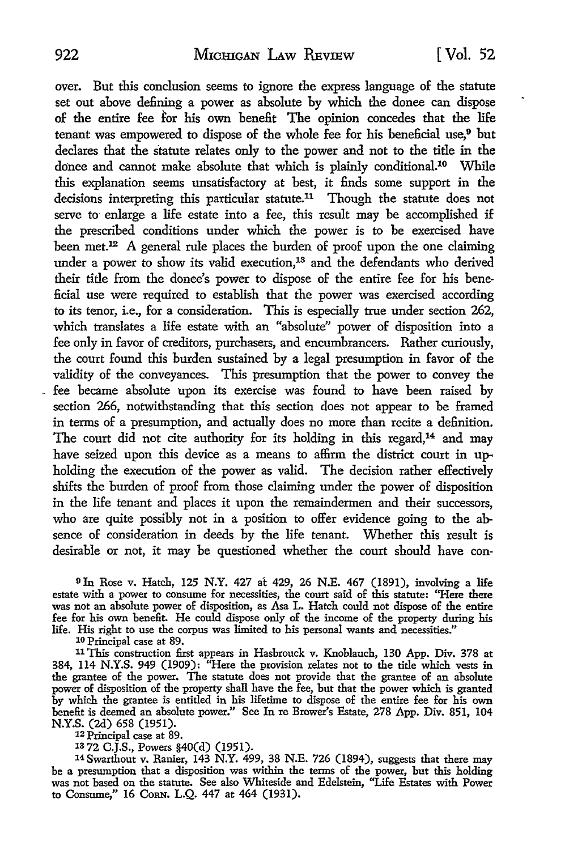over. But this conclusion seems to ignore the express language of the statute set out above defining a power as absolute by which the donee can dispose of the entire fee for his own benefit The opinion concedes that the life tenant was empowered to dispose of the whole fee for his beneficial use,<sup>9</sup> but declares that the statute relates only to the power and not to the title in the donee and cannot make absolute that which is plainly conditional.<sup>10</sup> While this explanation seems unsatisfactory at best, it finds some support in the decisions interpreting this particular statute.<sup>11</sup> Though the statute does not serve to enlarge a life estate into a fee, this result may be accomplished if the prescribed conditions under which the power is to be exercised have been met.12 A general rule places the burden of proof upon the one claiming under a power to show its valid execution,<sup>13</sup> and the defendants who derived their title from the donee's power to dispose of the entire fee for his beneficial use were required to establish that the power was exercised according to its tenor, i.e., for a consideration. This is especially true under section 262, which translates a life estate with an "absolute" power of disposition into a fee only in favor of creditors, purchasers, and encumbrancers. Rather curiously, the court found this burden sustained by a legal presumption in favor of the validity of the conveyances. This presumption that the power to convey the \_ fee became absolute upon its exercise was found to have been raised by section 266, notwithstanding that this section does not appear to be framed in terms of a presumption, and actually does no more than recite a definition. The court did not cite authority for its holding in this regard,<sup>14</sup> and may have seized upon this device as a means to affirm the district court in upholding the execution of the power as valid. The decision rather effectively shifts the burden of proof from those claiming under the power of disposition in the life tenant and places it upon the remaindermen and their successors, who are quite possibly not in a position to offer evidence going to the absence of consideration in deeds by the life tenant. Whether this result is desirable or not, it may be questioned whether the court should have con-

9 In Rose v. Hatch, 125 **N.Y.** 427 at 429, 26 N.E. 467 (1891), involving a life estate with a power to consume for necessities, the court said of this statute: "Here there was not an absolute power of disposition, as Asa L. Hatch could not dispose of the entire fee for his own benefit. He could dispose ouly of the income of the property during his life. His right to use the corpus was limited to his personal wants and necessities."

10 Principal case at 89.

11 This construction first appears in Hasbrouck v. Knoblauch, 130 App. Div. 378 at 384, 114 N.Y.S. 949 (1909): "Here the provision relates not to the title which vests in the grantee of the power. The statute does not provide that the grantee of an absolute power of disposition of the property shall have the fee, but that the power which is granted by which the grantee is entitled in his lifetime to dispose of the entire fee for his own benefit is deemed an absolute power." See In re Brower's Estate, 278 App. Div. 851, 104 N.Y.S. (2d) 658 (1951).

12 Principal case at 89.

13 72 C.J.S., Powers §40(d) (1951).

14Swarthout v. Ranier, 143 N.Y. 499, 38 N.E. 726 (1894), suggests that there may be a presumption that a disposition was within the terms of the power, but this holding was not based on the statute. See also Whiteside and Edelstein, "Life Estates with Power to Consume," 16 CoRN. L.Q. 447 at 464 (1931).